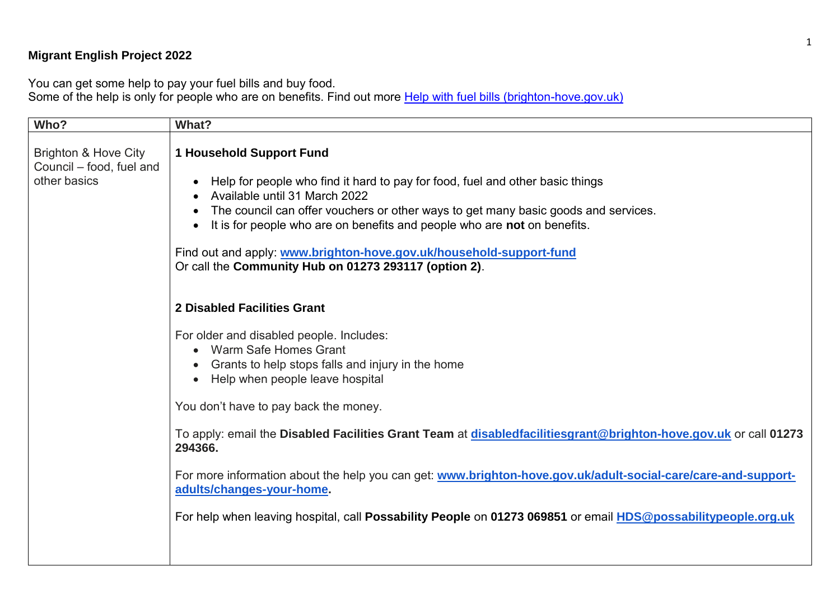## **Migrant English Project 2022**

You can get some help to pay your fuel bills and buy food.

Some of the help is only for people who are on benefits. Find out more <u>Help with fuel bills (brighton-hove.gov.uk)</u>

| Who?                                                                        | What?                                                                                                                                                                                                                                                                                                                                                                                                                                                            |
|-----------------------------------------------------------------------------|------------------------------------------------------------------------------------------------------------------------------------------------------------------------------------------------------------------------------------------------------------------------------------------------------------------------------------------------------------------------------------------------------------------------------------------------------------------|
| <b>Brighton &amp; Hove City</b><br>Council - food, fuel and<br>other basics | <b>1 Household Support Fund</b><br>Help for people who find it hard to pay for food, fuel and other basic things<br>Available until 31 March 2022<br>The council can offer vouchers or other ways to get many basic goods and services.<br>$\bullet$<br>It is for people who are on benefits and people who are not on benefits.<br>Find out and apply: www.brighton-hove.gov.uk/household-support-fund<br>Or call the Community Hub on 01273 293117 (option 2). |
|                                                                             | <b>2 Disabled Facilities Grant</b><br>For older and disabled people. Includes:<br>• Warm Safe Homes Grant<br>Grants to help stops falls and injury in the home<br>$\bullet$<br>Help when people leave hospital                                                                                                                                                                                                                                                   |
|                                                                             | You don't have to pay back the money.<br>To apply: email the Disabled Facilities Grant Team at disabledfacilitiesgrant@brighton-hove.gov.uk or call 01273<br>294366.<br>For more information about the help you can get: www.brighton-hove.gov.uk/adult-social-care/care-and-support-<br>adults/changes-your-home.<br>For help when leaving hospital, call Possability People on 01273 069851 or email HDS@possabilitypeople.org.uk                              |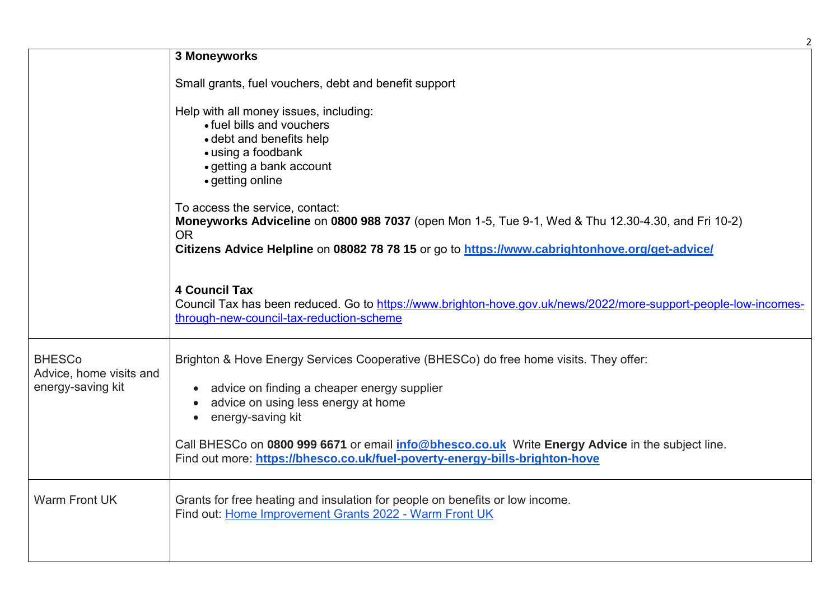|                                                               | $\overline{2}$                                                                                                                                                                                                    |
|---------------------------------------------------------------|-------------------------------------------------------------------------------------------------------------------------------------------------------------------------------------------------------------------|
|                                                               | 3 Moneyworks                                                                                                                                                                                                      |
|                                                               | Small grants, fuel vouchers, debt and benefit support                                                                                                                                                             |
|                                                               | Help with all money issues, including:<br>• fuel bills and vouchers<br>• debt and benefits help<br>• using a foodbank<br>• getting a bank account<br>• getting online<br>To access the service, contact:          |
|                                                               | Moneyworks Adviceline on 0800 988 7037 (open Mon 1-5, Tue 9-1, Wed & Thu 12.30-4.30, and Fri 10-2)<br><b>OR</b><br>Citizens Advice Helpline on 08082 78 78 15 or go to https://www.cabrightonhove.org/get-advice/ |
|                                                               | <b>4 Council Tax</b><br>Council Tax has been reduced. Go to https://www.brighton-hove.gov.uk/news/2022/more-support-people-low-incomes-<br>through-new-council-tax-reduction-scheme                               |
| <b>BHESCo</b><br>Advice, home visits and<br>energy-saving kit | Brighton & Hove Energy Services Cooperative (BHESCo) do free home visits. They offer:<br>• advice on finding a cheaper energy supplier<br>advice on using less energy at home<br>• energy-saving kit              |
|                                                               | Call BHESCo on 0800 999 6671 or email <i>info@bhesco.co.uk</i> Write Energy Advice in the subject line.<br>Find out more: https://bhesco.co.uk/fuel-poverty-energy-bills-brighton-hove                            |
| <b>Warm Front UK</b>                                          | Grants for free heating and insulation for people on benefits or low income.<br>Find out: Home Improvement Grants 2022 - Warm Front UK                                                                            |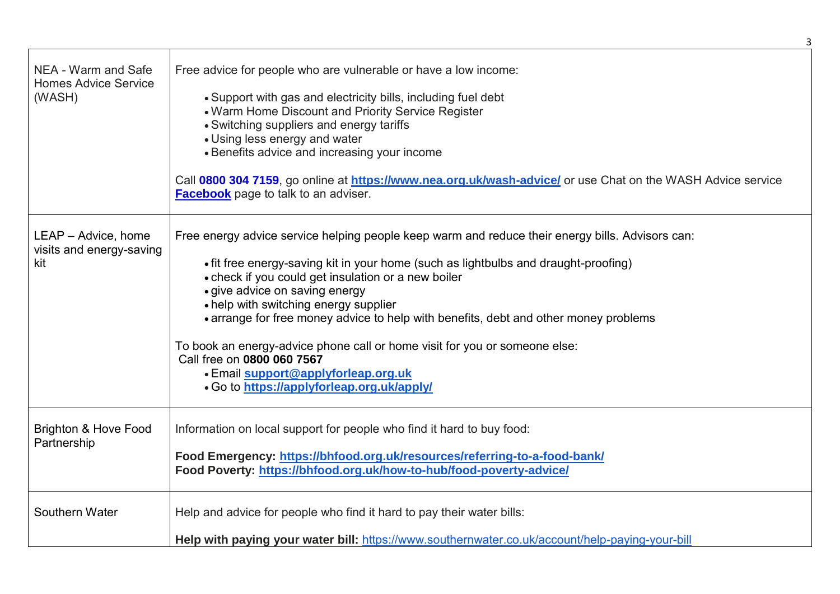| NEA - Warm and Safe<br><b>Homes Advice Service</b><br>(WASH) | Free advice for people who are vulnerable or have a low income:<br>• Support with gas and electricity bills, including fuel debt<br>• Warm Home Discount and Priority Service Register<br>• Switching suppliers and energy tariffs<br>• Using less energy and water<br>• Benefits advice and increasing your income<br>Call 0800 304 7159, go online at https://www.nea.org.uk/wash-advice/ or use Chat on the WASH Advice service<br><b>Facebook</b> page to talk to an adviser.                                                                                                                                  |
|--------------------------------------------------------------|--------------------------------------------------------------------------------------------------------------------------------------------------------------------------------------------------------------------------------------------------------------------------------------------------------------------------------------------------------------------------------------------------------------------------------------------------------------------------------------------------------------------------------------------------------------------------------------------------------------------|
| LEAP - Advice, home<br>visits and energy-saving<br>kit       | Free energy advice service helping people keep warm and reduce their energy bills. Advisors can:<br>• fit free energy-saving kit in your home (such as lightbulbs and draught-proofing)<br>• check if you could get insulation or a new boiler<br>• give advice on saving energy<br>• help with switching energy supplier<br>• arrange for free money advice to help with benefits, debt and other money problems<br>To book an energy-advice phone call or home visit for you or someone else:<br>Call free on 0800 060 7567<br>• Email support@applyforleap.org.uk<br>• Go to https://applyforleap.org.uk/apply/ |
| Brighton & Hove Food<br>Partnership                          | Information on local support for people who find it hard to buy food:<br>Food Emergency: https://bhfood.org.uk/resources/referring-to-a-food-bank/<br>Food Poverty: https://bhfood.org.uk/how-to-hub/food-poverty-advice/                                                                                                                                                                                                                                                                                                                                                                                          |
| Southern Water                                               | Help and advice for people who find it hard to pay their water bills:<br>Help with paying your water bill: https://www.southernwater.co.uk/account/help-paying-your-bill                                                                                                                                                                                                                                                                                                                                                                                                                                           |

3